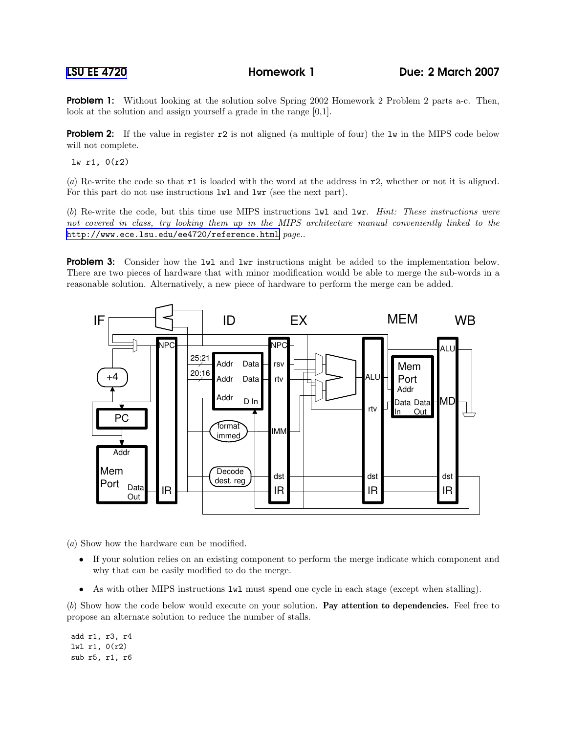**Problem 1:** Without looking at the solution solve Spring 2002 Homework 2 Problem 2 parts a-c. Then, look at the solution and assign yourself a grade in the range [0,1].

**Problem 2:** If the value in register r2 is not aligned (a multiple of four) the 1w in the MIPS code below will not complete.

lw r1, 0(r2)

(a) Re-write the code so that r1 is loaded with the word at the address in r2, whether or not it is aligned. For this part do not use instructions  $1$ *w*l and  $1$ *wr* (see the next part).

(b) Re-write the code, but this time use MIPS instructions lwl and lwr. Hint: These instructions were not covered in class, try looking them up in the MIPS architecture manual conveniently linked to the <http://www.ece.lsu.edu/ee4720/reference.html> page..

**Problem 3:** Consider how the lwl and lwr instructions might be added to the implementation below. There are two pieces of hardware that with minor modification would be able to merge the sub-words in a reasonable solution. Alternatively, a new piece of hardware to perform the merge can be added.



(a) Show how the hardware can be modified.

- If your solution relies on an existing component to perform the merge indicate which component and why that can be easily modified to do the merge.
- As with other MIPS instructions lwl must spend one cycle in each stage (except when stalling).

(b) Show how the code below would execute on your solution. Pay attention to dependencies. Feel free to propose an alternate solution to reduce the number of stalls.

add r1, r3, r4 lwl r1, 0(r2) sub r5, r1, r6